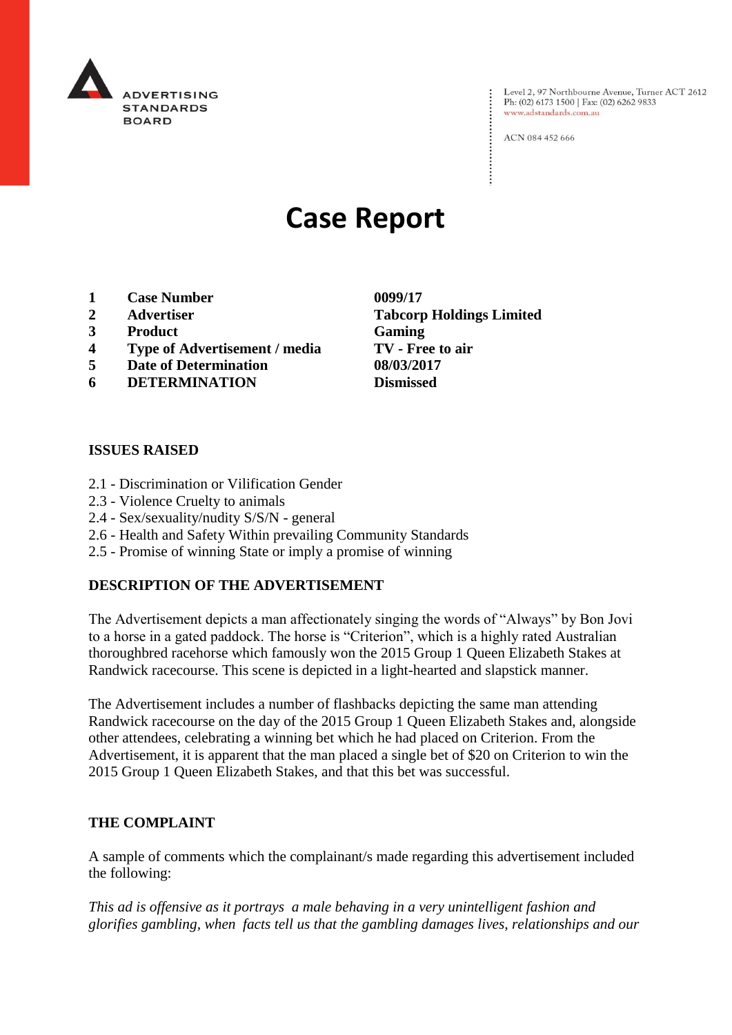

Level 2, 97 Northbourne Avenue, Turner ACT 2612<br>Ph: (02) 6173 1500 | Fax: (02) 6262 9833 www.adstandards.com.au

ACN 084 452 666

# **Case Report**

- **1 Case Number 0099/17**
- 
- **3 Product Gaming**
- **4 Type of Advertisement / media TV - Free to air**
- **5 Date of Determination 08/03/2017**
- **6 DETERMINATION Dismissed**

## **ISSUES RAISED**

- 2.1 Discrimination or Vilification Gender
- 2.3 Violence Cruelty to animals
- 2.4 Sex/sexuality/nudity S/S/N general
- 2.6 Health and Safety Within prevailing Community Standards
- 2.5 Promise of winning State or imply a promise of winning

## **DESCRIPTION OF THE ADVERTISEMENT**

The Advertisement depicts a man affectionately singing the words of "Always" by Bon Jovi to a horse in a gated paddock. The horse is "Criterion", which is a highly rated Australian thoroughbred racehorse which famously won the 2015 Group 1 Queen Elizabeth Stakes at Randwick racecourse. This scene is depicted in a light-hearted and slapstick manner.

The Advertisement includes a number of flashbacks depicting the same man attending Randwick racecourse on the day of the 2015 Group 1 Queen Elizabeth Stakes and, alongside other attendees, celebrating a winning bet which he had placed on Criterion. From the Advertisement, it is apparent that the man placed a single bet of \$20 on Criterion to win the 2015 Group 1 Queen Elizabeth Stakes, and that this bet was successful.

#### **THE COMPLAINT**

A sample of comments which the complainant/s made regarding this advertisement included the following:

*This ad is offensive as it portrays a male behaving in a very unintelligent fashion and glorifies gambling, when facts tell us that the gambling damages lives, relationships and our* 

**2 Advertiser Tabcorp Holdings Limited**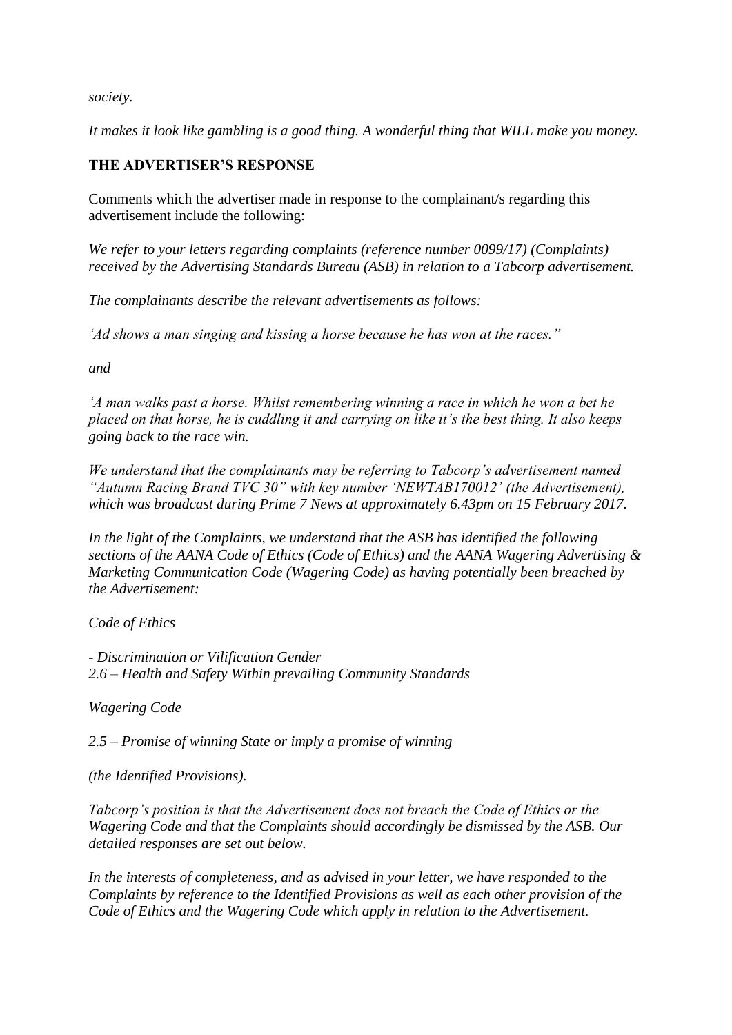*society.*

*It makes it look like gambling is a good thing. A wonderful thing that WILL make you money.*

# **THE ADVERTISER'S RESPONSE**

Comments which the advertiser made in response to the complainant/s regarding this advertisement include the following:

*We refer to your letters regarding complaints (reference number 0099/17) (Complaints) received by the Advertising Standards Bureau (ASB) in relation to a Tabcorp advertisement.*

*The complainants describe the relevant advertisements as follows:*

*'Ad shows a man singing and kissing a horse because he has won at the races."*

*and*

*'A man walks past a horse. Whilst remembering winning a race in which he won a bet he placed on that horse, he is cuddling it and carrying on like it's the best thing. It also keeps going back to the race win.*

*We understand that the complainants may be referring to Tabcorp's advertisement named "Autumn Racing Brand TVC 30" with key number 'NEWTAB170012' (the Advertisement), which was broadcast during Prime 7 News at approximately 6.43pm on 15 February 2017.*

*In the light of the Complaints, we understand that the ASB has identified the following sections of the AANA Code of Ethics (Code of Ethics) and the AANA Wagering Advertising & Marketing Communication Code (Wagering Code) as having potentially been breached by the Advertisement:*

*Code of Ethics*

*- Discrimination or Vilification Gender 2.6 – Health and Safety Within prevailing Community Standards*

*Wagering Code*

*2.5 – Promise of winning State or imply a promise of winning*

*(the Identified Provisions).*

*Tabcorp's position is that the Advertisement does not breach the Code of Ethics or the Wagering Code and that the Complaints should accordingly be dismissed by the ASB. Our detailed responses are set out below.*

*In the interests of completeness, and as advised in your letter, we have responded to the Complaints by reference to the Identified Provisions as well as each other provision of the Code of Ethics and the Wagering Code which apply in relation to the Advertisement.*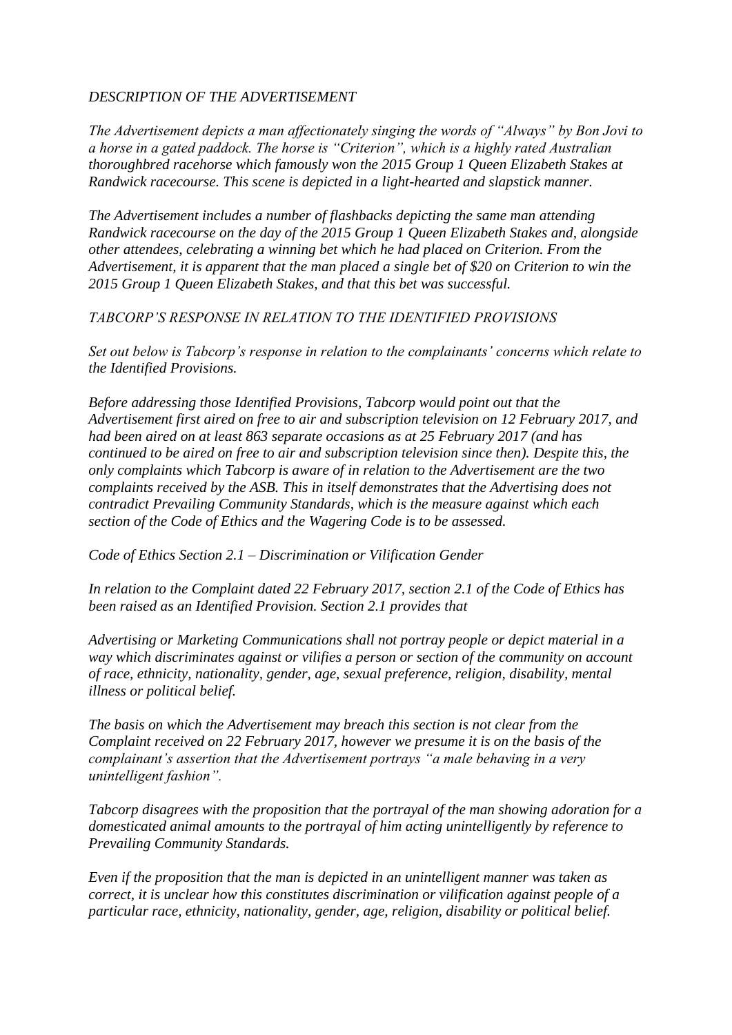## *DESCRIPTION OF THE ADVERTISEMENT*

*The Advertisement depicts a man affectionately singing the words of "Always" by Bon Jovi to a horse in a gated paddock. The horse is "Criterion", which is a highly rated Australian thoroughbred racehorse which famously won the 2015 Group 1 Queen Elizabeth Stakes at Randwick racecourse. This scene is depicted in a light-hearted and slapstick manner.*

*The Advertisement includes a number of flashbacks depicting the same man attending Randwick racecourse on the day of the 2015 Group 1 Queen Elizabeth Stakes and, alongside other attendees, celebrating a winning bet which he had placed on Criterion. From the Advertisement, it is apparent that the man placed a single bet of \$20 on Criterion to win the 2015 Group 1 Queen Elizabeth Stakes, and that this bet was successful.*

*TABCORP'S RESPONSE IN RELATION TO THE IDENTIFIED PROVISIONS*

*Set out below is Tabcorp's response in relation to the complainants' concerns which relate to the Identified Provisions.*

*Before addressing those Identified Provisions, Tabcorp would point out that the Advertisement first aired on free to air and subscription television on 12 February 2017, and had been aired on at least 863 separate occasions as at 25 February 2017 (and has continued to be aired on free to air and subscription television since then). Despite this, the only complaints which Tabcorp is aware of in relation to the Advertisement are the two complaints received by the ASB. This in itself demonstrates that the Advertising does not contradict Prevailing Community Standards, which is the measure against which each section of the Code of Ethics and the Wagering Code is to be assessed.*

*Code of Ethics Section 2.1 – Discrimination or Vilification Gender*

*In relation to the Complaint dated 22 February 2017, section 2.1 of the Code of Ethics has been raised as an Identified Provision. Section 2.1 provides that*

*Advertising or Marketing Communications shall not portray people or depict material in a way which discriminates against or vilifies a person or section of the community on account of race, ethnicity, nationality, gender, age, sexual preference, religion, disability, mental illness or political belief.*

*The basis on which the Advertisement may breach this section is not clear from the Complaint received on 22 February 2017, however we presume it is on the basis of the complainant's assertion that the Advertisement portrays "a male behaving in a very unintelligent fashion".*

*Tabcorp disagrees with the proposition that the portrayal of the man showing adoration for a domesticated animal amounts to the portrayal of him acting unintelligently by reference to Prevailing Community Standards.*

*Even if the proposition that the man is depicted in an unintelligent manner was taken as correct, it is unclear how this constitutes discrimination or vilification against people of a particular race, ethnicity, nationality, gender, age, religion, disability or political belief.*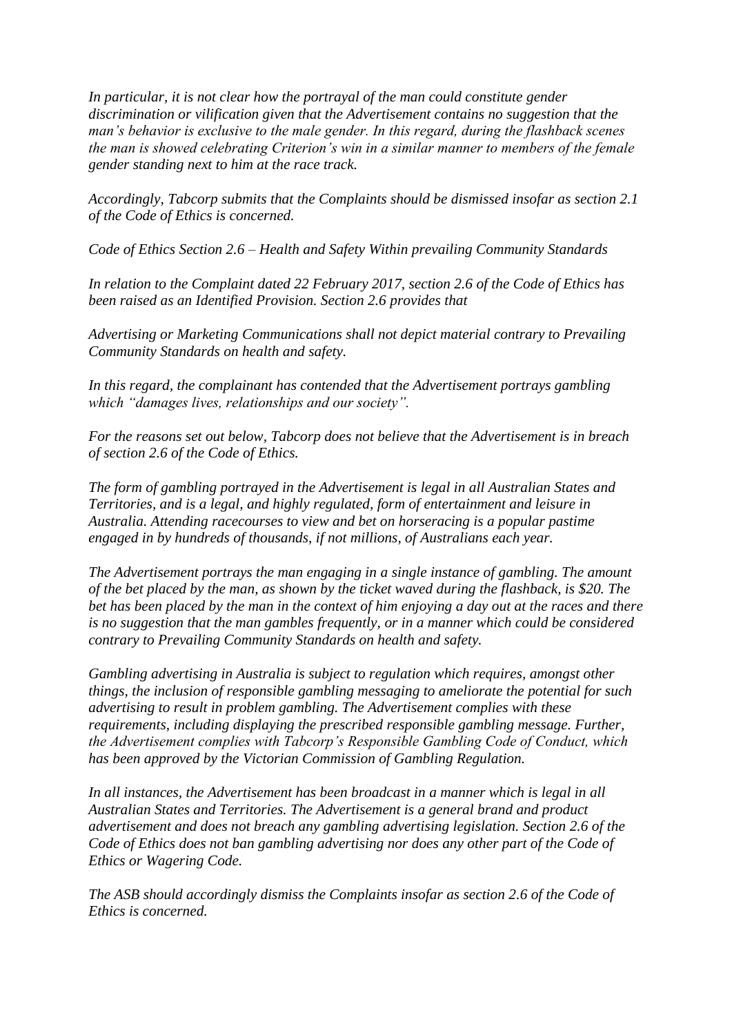*In particular, it is not clear how the portrayal of the man could constitute gender discrimination or vilification given that the Advertisement contains no suggestion that the man's behavior is exclusive to the male gender. In this regard, during the flashback scenes the man is showed celebrating Criterion's win in a similar manner to members of the female gender standing next to him at the race track.*

*Accordingly, Tabcorp submits that the Complaints should be dismissed insofar as section 2.1 of the Code of Ethics is concerned.*

*Code of Ethics Section 2.6 – Health and Safety Within prevailing Community Standards*

*In relation to the Complaint dated 22 February 2017, section 2.6 of the Code of Ethics has been raised as an Identified Provision. Section 2.6 provides that*

*Advertising or Marketing Communications shall not depict material contrary to Prevailing Community Standards on health and safety.*

*In this regard, the complainant has contended that the Advertisement portrays gambling which "damages lives, relationships and our society".*

*For the reasons set out below, Tabcorp does not believe that the Advertisement is in breach of section 2.6 of the Code of Ethics.*

*The form of gambling portrayed in the Advertisement is legal in all Australian States and Territories, and is a legal, and highly regulated, form of entertainment and leisure in Australia. Attending racecourses to view and bet on horseracing is a popular pastime engaged in by hundreds of thousands, if not millions, of Australians each year.*

*The Advertisement portrays the man engaging in a single instance of gambling. The amount of the bet placed by the man, as shown by the ticket waved during the flashback, is \$20. The bet has been placed by the man in the context of him enjoying a day out at the races and there is no suggestion that the man gambles frequently, or in a manner which could be considered contrary to Prevailing Community Standards on health and safety.*

*Gambling advertising in Australia is subject to regulation which requires, amongst other things, the inclusion of responsible gambling messaging to ameliorate the potential for such advertising to result in problem gambling. The Advertisement complies with these requirements, including displaying the prescribed responsible gambling message. Further, the Advertisement complies with Tabcorp's Responsible Gambling Code of Conduct, which has been approved by the Victorian Commission of Gambling Regulation.*

*In all instances, the Advertisement has been broadcast in a manner which is legal in all Australian States and Territories. The Advertisement is a general brand and product advertisement and does not breach any gambling advertising legislation. Section 2.6 of the Code of Ethics does not ban gambling advertising nor does any other part of the Code of Ethics or Wagering Code.*

*The ASB should accordingly dismiss the Complaints insofar as section 2.6 of the Code of Ethics is concerned.*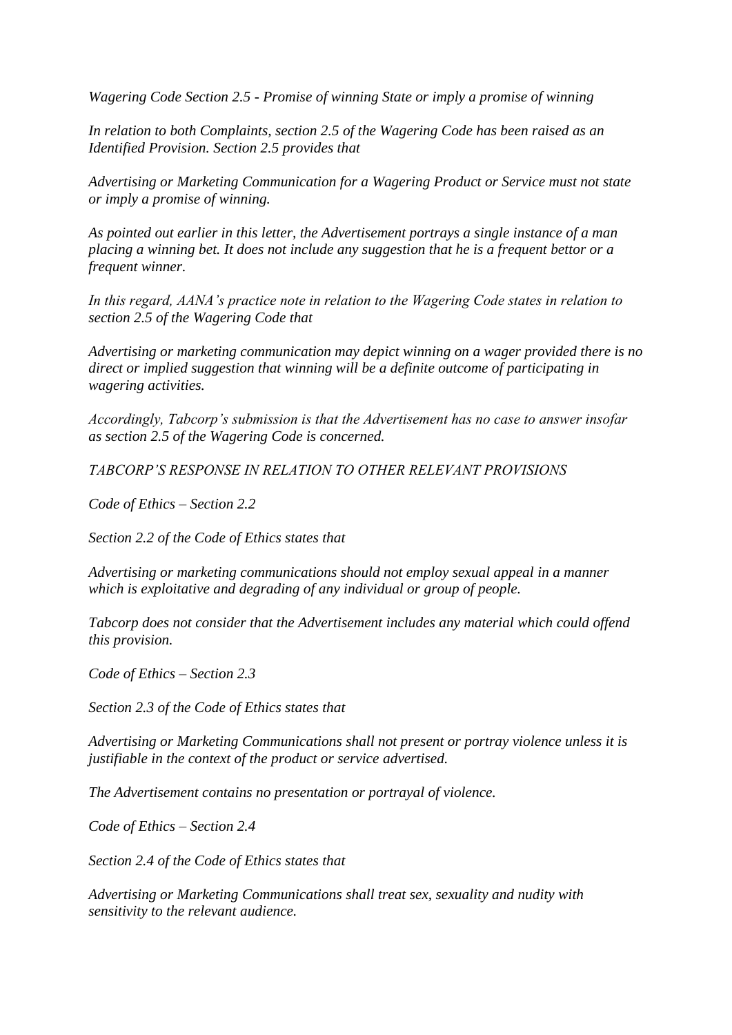*Wagering Code Section 2.5 - Promise of winning State or imply a promise of winning*

*In relation to both Complaints, section 2.5 of the Wagering Code has been raised as an Identified Provision. Section 2.5 provides that*

*Advertising or Marketing Communication for a Wagering Product or Service must not state or imply a promise of winning.*

*As pointed out earlier in this letter, the Advertisement portrays a single instance of a man placing a winning bet. It does not include any suggestion that he is a frequent bettor or a frequent winner.*

*In this regard, AANA's practice note in relation to the Wagering Code states in relation to section 2.5 of the Wagering Code that*

*Advertising or marketing communication may depict winning on a wager provided there is no direct or implied suggestion that winning will be a definite outcome of participating in wagering activities.*

*Accordingly, Tabcorp's submission is that the Advertisement has no case to answer insofar as section 2.5 of the Wagering Code is concerned.*

*TABCORP'S RESPONSE IN RELATION TO OTHER RELEVANT PROVISIONS*

*Code of Ethics – Section 2.2*

*Section 2.2 of the Code of Ethics states that*

*Advertising or marketing communications should not employ sexual appeal in a manner which is exploitative and degrading of any individual or group of people.*

*Tabcorp does not consider that the Advertisement includes any material which could offend this provision.*

*Code of Ethics – Section 2.3*

*Section 2.3 of the Code of Ethics states that*

*Advertising or Marketing Communications shall not present or portray violence unless it is justifiable in the context of the product or service advertised.*

*The Advertisement contains no presentation or portrayal of violence.*

*Code of Ethics – Section 2.4*

*Section 2.4 of the Code of Ethics states that*

*Advertising or Marketing Communications shall treat sex, sexuality and nudity with sensitivity to the relevant audience.*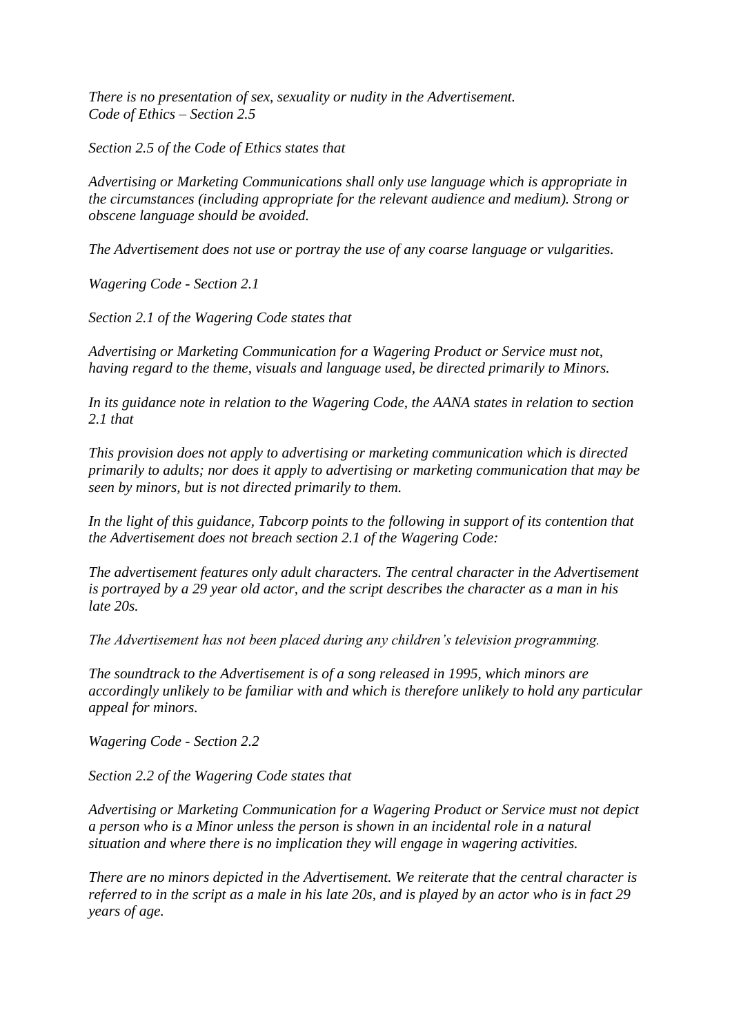*There is no presentation of sex, sexuality or nudity in the Advertisement. Code of Ethics – Section 2.5*

*Section 2.5 of the Code of Ethics states that*

*Advertising or Marketing Communications shall only use language which is appropriate in the circumstances (including appropriate for the relevant audience and medium). Strong or obscene language should be avoided.*

*The Advertisement does not use or portray the use of any coarse language or vulgarities.*

*Wagering Code - Section 2.1*

*Section 2.1 of the Wagering Code states that*

*Advertising or Marketing Communication for a Wagering Product or Service must not, having regard to the theme, visuals and language used, be directed primarily to Minors.*

*In its guidance note in relation to the Wagering Code, the AANA states in relation to section 2.1 that*

*This provision does not apply to advertising or marketing communication which is directed primarily to adults; nor does it apply to advertising or marketing communication that may be seen by minors, but is not directed primarily to them.*

*In the light of this guidance, Tabcorp points to the following in support of its contention that the Advertisement does not breach section 2.1 of the Wagering Code:*

*The advertisement features only adult characters. The central character in the Advertisement is portrayed by a 29 year old actor, and the script describes the character as a man in his late 20s.*

*The Advertisement has not been placed during any children's television programming.*

*The soundtrack to the Advertisement is of a song released in 1995, which minors are accordingly unlikely to be familiar with and which is therefore unlikely to hold any particular appeal for minors.*

*Wagering Code - Section 2.2*

*Section 2.2 of the Wagering Code states that*

*Advertising or Marketing Communication for a Wagering Product or Service must not depict a person who is a Minor unless the person is shown in an incidental role in a natural situation and where there is no implication they will engage in wagering activities.*

*There are no minors depicted in the Advertisement. We reiterate that the central character is referred to in the script as a male in his late 20s, and is played by an actor who is in fact 29 years of age.*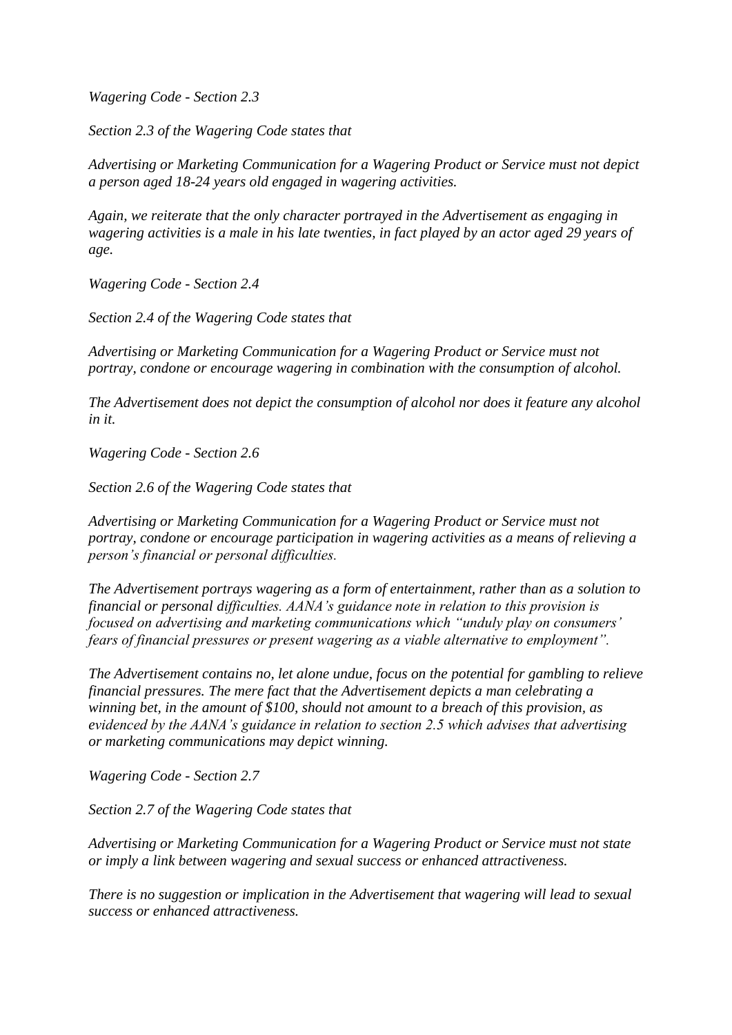*Wagering Code - Section 2.3*

*Section 2.3 of the Wagering Code states that*

*Advertising or Marketing Communication for a Wagering Product or Service must not depict a person aged 18-24 years old engaged in wagering activities.*

*Again, we reiterate that the only character portrayed in the Advertisement as engaging in wagering activities is a male in his late twenties, in fact played by an actor aged 29 years of age.*

*Wagering Code - Section 2.4*

*Section 2.4 of the Wagering Code states that*

*Advertising or Marketing Communication for a Wagering Product or Service must not portray, condone or encourage wagering in combination with the consumption of alcohol.*

*The Advertisement does not depict the consumption of alcohol nor does it feature any alcohol in it.*

*Wagering Code - Section 2.6*

*Section 2.6 of the Wagering Code states that*

*Advertising or Marketing Communication for a Wagering Product or Service must not portray, condone or encourage participation in wagering activities as a means of relieving a person's financial or personal difficulties.*

*The Advertisement portrays wagering as a form of entertainment, rather than as a solution to financial or personal difficulties. AANA's guidance note in relation to this provision is focused on advertising and marketing communications which "unduly play on consumers' fears of financial pressures or present wagering as a viable alternative to employment".*

*The Advertisement contains no, let alone undue, focus on the potential for gambling to relieve financial pressures. The mere fact that the Advertisement depicts a man celebrating a winning bet, in the amount of \$100, should not amount to a breach of this provision, as evidenced by the AANA's guidance in relation to section 2.5 which advises that advertising or marketing communications may depict winning.*

*Wagering Code - Section 2.7*

*Section 2.7 of the Wagering Code states that*

*Advertising or Marketing Communication for a Wagering Product or Service must not state or imply a link between wagering and sexual success or enhanced attractiveness.*

*There is no suggestion or implication in the Advertisement that wagering will lead to sexual success or enhanced attractiveness.*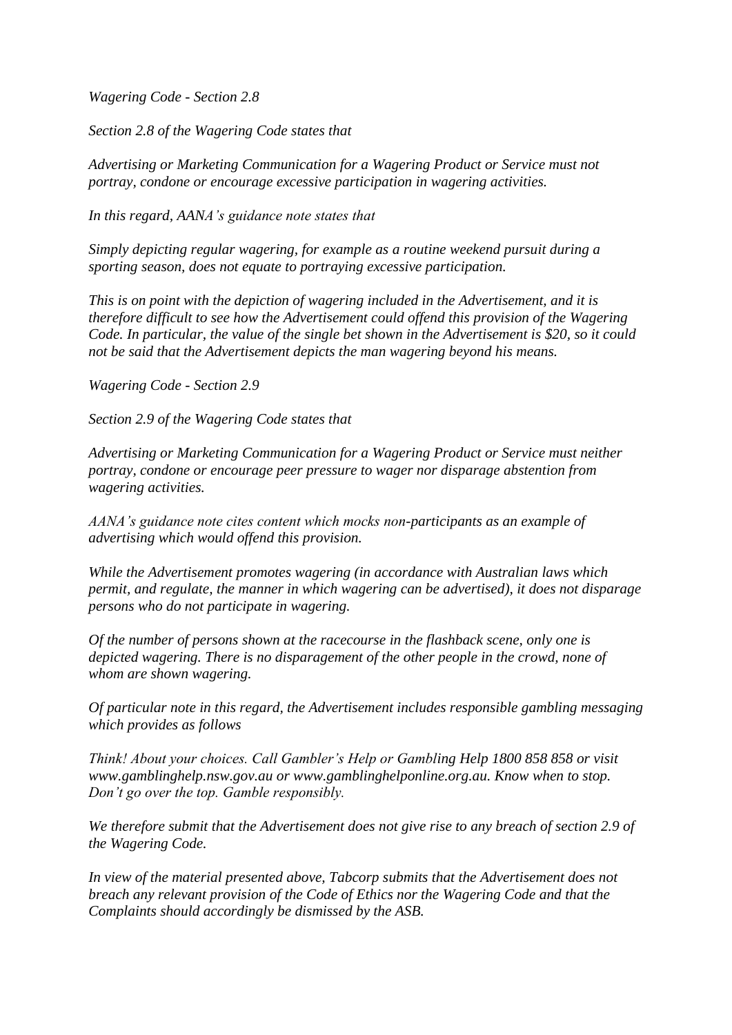*Wagering Code - Section 2.8*

*Section 2.8 of the Wagering Code states that*

*Advertising or Marketing Communication for a Wagering Product or Service must not portray, condone or encourage excessive participation in wagering activities.*

*In this regard, AANA's guidance note states that*

*Simply depicting regular wagering, for example as a routine weekend pursuit during a sporting season, does not equate to portraying excessive participation.*

*This is on point with the depiction of wagering included in the Advertisement, and it is therefore difficult to see how the Advertisement could offend this provision of the Wagering Code. In particular, the value of the single bet shown in the Advertisement is \$20, so it could not be said that the Advertisement depicts the man wagering beyond his means.*

*Wagering Code - Section 2.9*

*Section 2.9 of the Wagering Code states that*

*Advertising or Marketing Communication for a Wagering Product or Service must neither portray, condone or encourage peer pressure to wager nor disparage abstention from wagering activities.*

*AANA's guidance note cites content which mocks non-participants as an example of advertising which would offend this provision.*

*While the Advertisement promotes wagering (in accordance with Australian laws which permit, and regulate, the manner in which wagering can be advertised), it does not disparage persons who do not participate in wagering.*

*Of the number of persons shown at the racecourse in the flashback scene, only one is depicted wagering. There is no disparagement of the other people in the crowd, none of whom are shown wagering.*

*Of particular note in this regard, the Advertisement includes responsible gambling messaging which provides as follows*

*Think! About your choices. Call Gambler's Help or Gambling Help 1800 858 858 or visit www.gamblinghelp.nsw.gov.au or www.gamblinghelponline.org.au. Know when to stop. Don't go over the top. Gamble responsibly.*

*We therefore submit that the Advertisement does not give rise to any breach of section 2.9 of the Wagering Code.*

*In view of the material presented above, Tabcorp submits that the Advertisement does not breach any relevant provision of the Code of Ethics nor the Wagering Code and that the Complaints should accordingly be dismissed by the ASB.*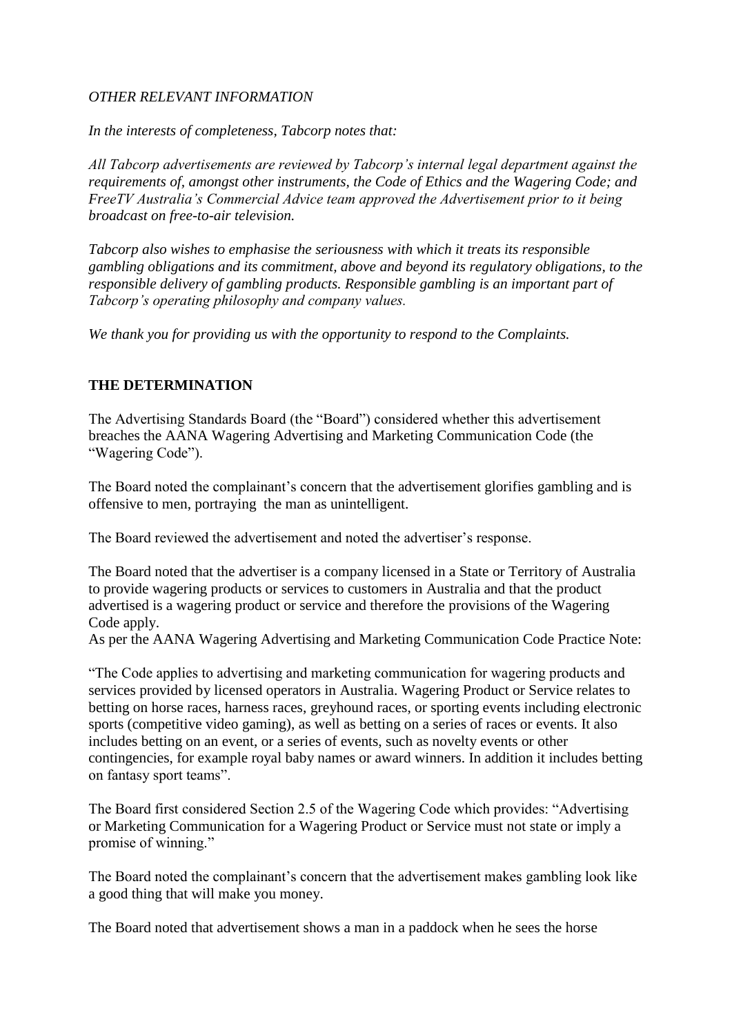## *OTHER RELEVANT INFORMATION*

*In the interests of completeness, Tabcorp notes that:*

*All Tabcorp advertisements are reviewed by Tabcorp's internal legal department against the requirements of, amongst other instruments, the Code of Ethics and the Wagering Code; and FreeTV Australia's Commercial Advice team approved the Advertisement prior to it being broadcast on free-to-air television.*

*Tabcorp also wishes to emphasise the seriousness with which it treats its responsible gambling obligations and its commitment, above and beyond its regulatory obligations, to the responsible delivery of gambling products. Responsible gambling is an important part of Tabcorp's operating philosophy and company values.*

*We thank you for providing us with the opportunity to respond to the Complaints.*

## **THE DETERMINATION**

The Advertising Standards Board (the "Board") considered whether this advertisement breaches the AANA Wagering Advertising and Marketing Communication Code (the "Wagering Code").

The Board noted the complainant's concern that the advertisement glorifies gambling and is offensive to men, portraying the man as unintelligent.

The Board reviewed the advertisement and noted the advertiser's response.

The Board noted that the advertiser is a company licensed in a State or Territory of Australia to provide wagering products or services to customers in Australia and that the product advertised is a wagering product or service and therefore the provisions of the Wagering Code apply.

As per the AANA Wagering Advertising and Marketing Communication Code Practice Note:

"The Code applies to advertising and marketing communication for wagering products and services provided by licensed operators in Australia. Wagering Product or Service relates to betting on horse races, harness races, greyhound races, or sporting events including electronic sports (competitive video gaming), as well as betting on a series of races or events. It also includes betting on an event, or a series of events, such as novelty events or other contingencies, for example royal baby names or award winners. In addition it includes betting on fantasy sport teams".

The Board first considered Section 2.5 of the Wagering Code which provides: "Advertising or Marketing Communication for a Wagering Product or Service must not state or imply a promise of winning."

The Board noted the complainant's concern that the advertisement makes gambling look like a good thing that will make you money.

The Board noted that advertisement shows a man in a paddock when he sees the horse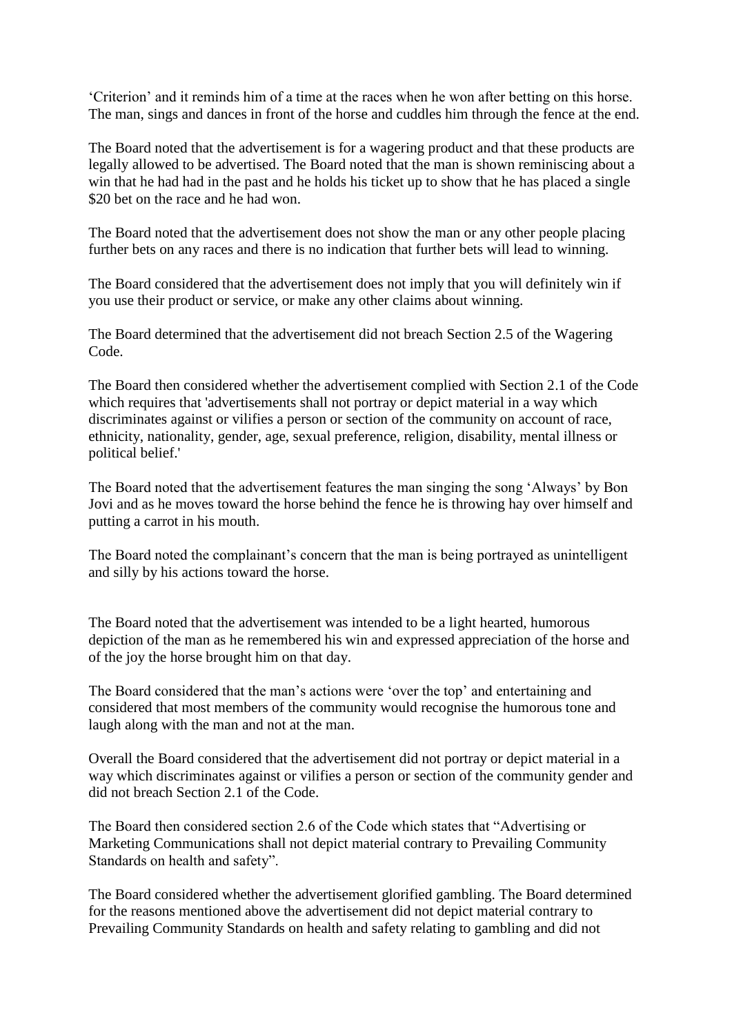'Criterion' and it reminds him of a time at the races when he won after betting on this horse. The man, sings and dances in front of the horse and cuddles him through the fence at the end.

The Board noted that the advertisement is for a wagering product and that these products are legally allowed to be advertised. The Board noted that the man is shown reminiscing about a win that he had had in the past and he holds his ticket up to show that he has placed a single \$20 bet on the race and he had won.

The Board noted that the advertisement does not show the man or any other people placing further bets on any races and there is no indication that further bets will lead to winning.

The Board considered that the advertisement does not imply that you will definitely win if you use their product or service, or make any other claims about winning.

The Board determined that the advertisement did not breach Section 2.5 of the Wagering Code.

The Board then considered whether the advertisement complied with Section 2.1 of the Code which requires that 'advertisements shall not portray or depict material in a way which discriminates against or vilifies a person or section of the community on account of race, ethnicity, nationality, gender, age, sexual preference, religion, disability, mental illness or political belief.'

The Board noted that the advertisement features the man singing the song 'Always' by Bon Jovi and as he moves toward the horse behind the fence he is throwing hay over himself and putting a carrot in his mouth.

The Board noted the complainant's concern that the man is being portrayed as unintelligent and silly by his actions toward the horse.

The Board noted that the advertisement was intended to be a light hearted, humorous depiction of the man as he remembered his win and expressed appreciation of the horse and of the joy the horse brought him on that day.

The Board considered that the man's actions were 'over the top' and entertaining and considered that most members of the community would recognise the humorous tone and laugh along with the man and not at the man.

Overall the Board considered that the advertisement did not portray or depict material in a way which discriminates against or vilifies a person or section of the community gender and did not breach Section 2.1 of the Code.

The Board then considered section 2.6 of the Code which states that "Advertising or Marketing Communications shall not depict material contrary to Prevailing Community Standards on health and safety".

The Board considered whether the advertisement glorified gambling. The Board determined for the reasons mentioned above the advertisement did not depict material contrary to Prevailing Community Standards on health and safety relating to gambling and did not